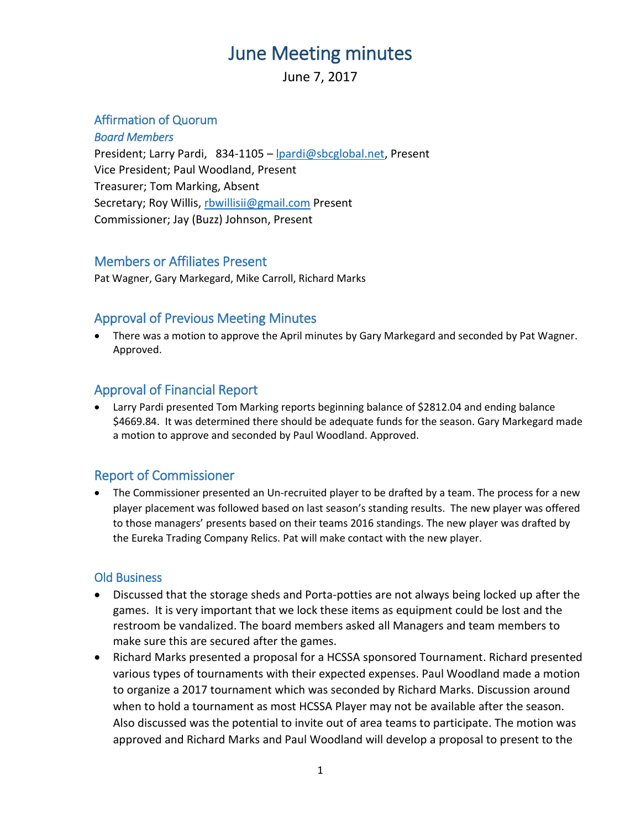## June Meeting minutes

June 7, 2017

#### Affirmation of Quorum

*Board Members*  President; Larry Pardi, 834-1105 - [lpardi@sbcglobal.net,](mailto:lpardi@sbcglobal.net) Present Vice President; Paul Woodland, Present Treasurer; Tom Marking, Absent Secretary; Roy Willis, [rbwillisii@gmail.com](mailto:rbwillisii@gmail.com) Present Commissioner; Jay (Buzz) Johnson, Present

#### Members or Affiliates Present

Pat Wagner, Gary Markegard, Mike Carroll, Richard Marks

## Approval of Previous Meeting Minutes

 There was a motion to approve the April minutes by Gary Markegard and seconded by Pat Wagner. Approved.

## Approval of Financial Report

 Larry Pardi presented Tom Marking reports beginning balance of \$2812.04 and ending balance \$4669.84. It was determined there should be adequate funds for the season. Gary Markegard made a motion to approve and seconded by Paul Woodland. Approved.

## Report of Commissioner

• The Commissioner presented an Un-recruited player to be drafted by a team. The process for a new player placement was followed based on last season's standing results. The new player was offered to those managers' presents based on their teams 2016 standings. The new player was drafted by the Eureka Trading Company Relics. Pat will make contact with the new player.

#### Old Business

- Discussed that the storage sheds and Porta-potties are not always being locked up after the games. It is very important that we lock these items as equipment could be lost and the restroom be vandalized. The board members asked all Managers and team members to make sure this are secured after the games.
- Richard Marks presented a proposal for a HCSSA sponsored Tournament. Richard presented various types of tournaments with their expected expenses. Paul Woodland made a motion to organize a 2017 tournament which was seconded by Richard Marks. Discussion around when to hold a tournament as most HCSSA Player may not be available after the season. Also discussed was the potential to invite out of area teams to participate. The motion was approved and Richard Marks and Paul Woodland will develop a proposal to present to the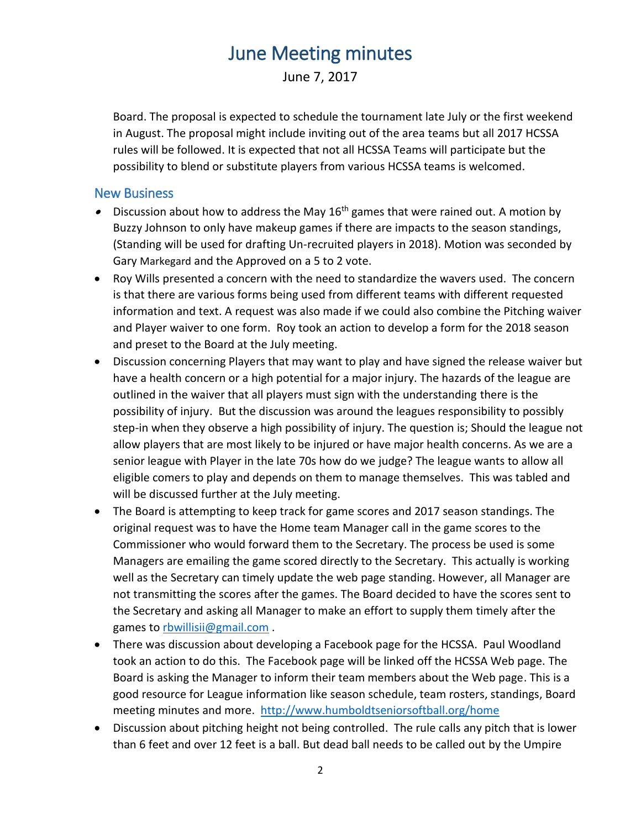# June Meeting minutes

June 7, 2017

Board. The proposal is expected to schedule the tournament late July or the first weekend in August. The proposal might include inviting out of the area teams but all 2017 HCSSA rules will be followed. It is expected that not all HCSSA Teams will participate but the possibility to blend or substitute players from various HCSSA teams is welcomed.

#### New Business

- $\bullet$  Discussion about how to address the May 16<sup>th</sup> games that were rained out. A motion by Buzzy Johnson to only have makeup games if there are impacts to the season standings, (Standing will be used for drafting Un-recruited players in 2018). Motion was seconded by Gary Markegard and the Approved on a 5 to 2 vote.
- Roy Wills presented a concern with the need to standardize the wavers used. The concern is that there are various forms being used from different teams with different requested information and text. A request was also made if we could also combine the Pitching waiver and Player waiver to one form. Roy took an action to develop a form for the 2018 season and preset to the Board at the July meeting.
- Discussion concerning Players that may want to play and have signed the release waiver but have a health concern or a high potential for a major injury. The hazards of the league are outlined in the waiver that all players must sign with the understanding there is the possibility of injury. But the discussion was around the leagues responsibility to possibly step-in when they observe a high possibility of injury. The question is; Should the league not allow players that are most likely to be injured or have major health concerns. As we are a senior league with Player in the late 70s how do we judge? The league wants to allow all eligible comers to play and depends on them to manage themselves. This was tabled and will be discussed further at the July meeting.
- The Board is attempting to keep track for game scores and 2017 season standings. The original request was to have the Home team Manager call in the game scores to the Commissioner who would forward them to the Secretary. The process be used is some Managers are emailing the game scored directly to the Secretary. This actually is working well as the Secretary can timely update the web page standing. However, all Manager are not transmitting the scores after the games. The Board decided to have the scores sent to the Secretary and asking all Manager to make an effort to supply them timely after the games to [rbwillisii@gmail.com](mailto:rbwillisii@gmail.com).
- There was discussion about developing a Facebook page for the HCSSA. Paul Woodland took an action to do this. The Facebook page will be linked off the HCSSA Web page. The Board is asking the Manager to inform their team members about the Web page. This is a good resource for League information like season schedule, team rosters, standings, Board meeting minutes and more. <http://www.humboldtseniorsoftball.org/home>
- Discussion about pitching height not being controlled. The rule calls any pitch that is lower than 6 feet and over 12 feet is a ball. But dead ball needs to be called out by the Umpire